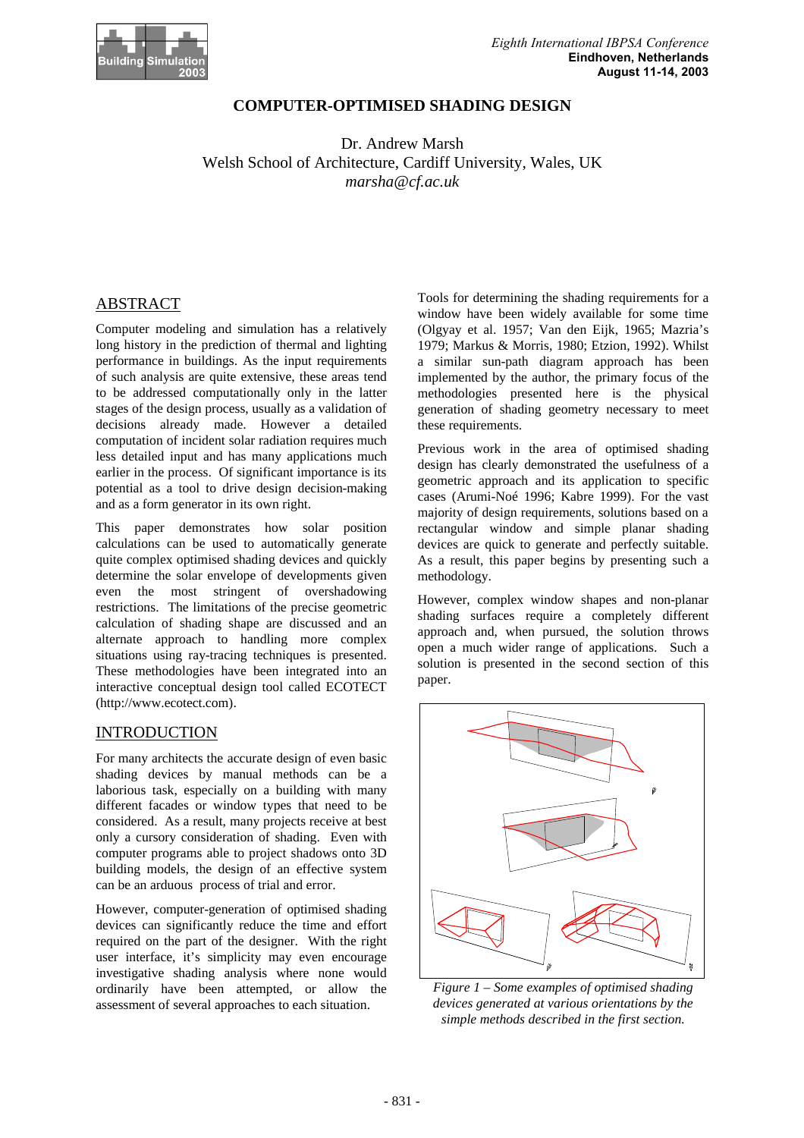

# **COMPUTER-OPTIMISED SHADING DESIGN**

Dr. Andrew Marsh Welsh School of Architecture, Cardiff University, Wales, UK *marsha@cf.ac.uk*

# ABSTRACT

Computer modeling and simulation has a relatively long history in the prediction of thermal and lighting performance in buildings. As the input requirements of such analysis are quite extensive, these areas tend to be addressed computationally only in the latter stages of the design process, usually as a validation of decisions already made. However a detailed computation of incident solar radiation requires much less detailed input and has many applications much earlier in the process. Of significant importance is its potential as a tool to drive design decision-making and as a form generator in its own right.

This paper demonstrates how solar position calculations can be used to automatically generate quite complex optimised shading devices and quickly determine the solar envelope of developments given even the most stringent of overshadowing restrictions. The limitations of the precise geometric calculation of shading shape are discussed and an alternate approach to handling more complex situations using ray-tracing techniques is presented. These methodologies have been integrated into an interactive conceptual design tool called ECOTECT (http://www.ecotect.com).

# INTRODUCTION

For many architects the accurate design of even basic shading devices by manual methods can be a laborious task, especially on a building with many different facades or window types that need to be considered. As a result, many projects receive at best only a cursory consideration of shading. Even with computer programs able to project shadows onto 3D building models, the design of an effective system can be an arduous process of trial and error.

However, computer-generation of optimised shading devices can significantly reduce the time and effort required on the part of the designer. With the right user interface, it's simplicity may even encourage investigative shading analysis where none would ordinarily have been attempted, or allow the assessment of several approaches to each situation.

Tools for determining the shading requirements for a window have been widely available for some time (Olgyay et al. 1957; Van den Eijk, 1965; Mazria's 1979; Markus & Morris, 1980; Etzion, 1992). Whilst a similar sun-path diagram approach has been implemented by the author, the primary focus of the methodologies presented here is the physical generation of shading geometry necessary to meet these requirements.

Previous work in the area of optimised shading design has clearly demonstrated the usefulness of a geometric approach and its application to specific cases (Arumi-Noé 1996; Kabre 1999). For the vast majority of design requirements, solutions based on a rectangular window and simple planar shading devices are quick to generate and perfectly suitable. As a result, this paper begins by presenting such a methodology.

However, complex window shapes and non-planar shading surfaces require a completely different approach and, when pursued, the solution throws open a much wider range of applications. Such a solution is presented in the second section of this paper.



*Figure 1 – Some examples of optimised shading devices generated at various orientations by the simple methods described in the first section.*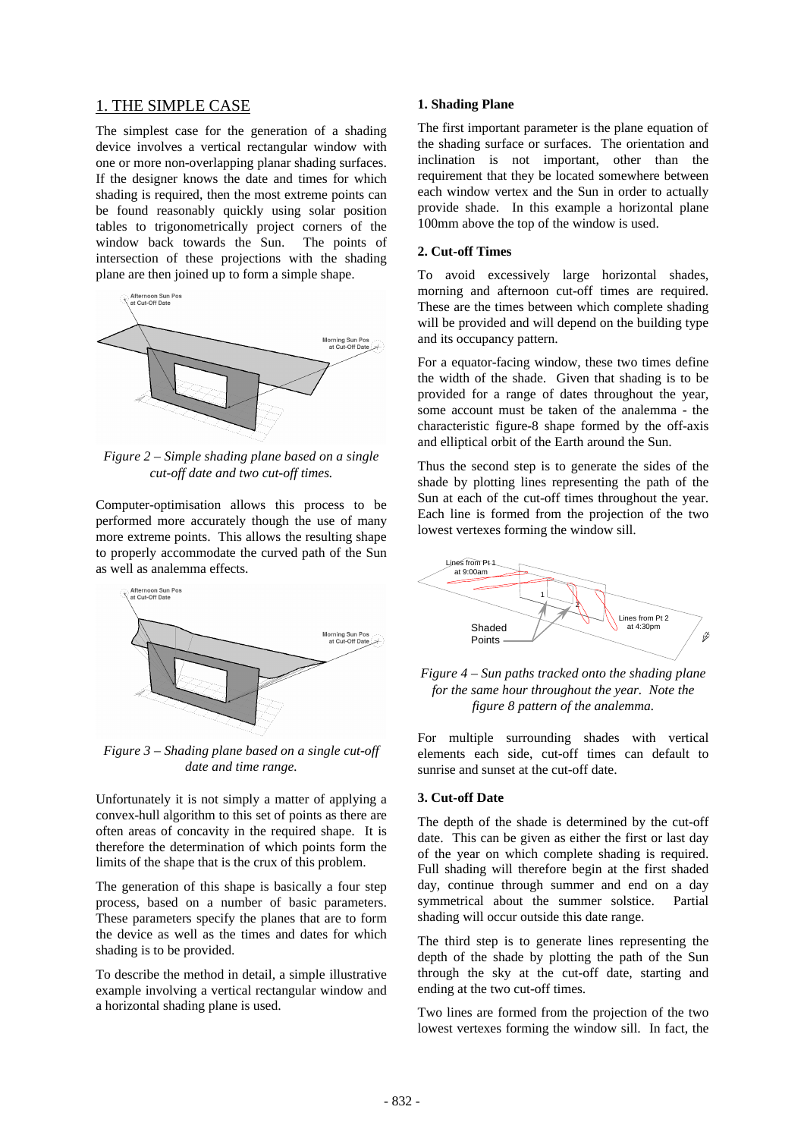# 1. THE SIMPLE CASE

The simplest case for the generation of a shading device involves a vertical rectangular window with one or more non-overlapping planar shading surfaces. If the designer knows the date and times for which shading is required, then the most extreme points can be found reasonably quickly using solar position tables to trigonometrically project corners of the window back towards the Sun. The points of intersection of these projections with the shading plane are then joined up to form a simple shape.



*Figure 2 – Simple shading plane based on a single cut-off date and two cut-off times.*

Computer-optimisation allows this process to be performed more accurately though the use of many more extreme points. This allows the resulting shape to properly accommodate the curved path of the Sun as well as analemma effects.



*Figure 3 – Shading plane based on a single cut-off date and time range.*

Unfortunately it is not simply a matter of applying a convex-hull algorithm to this set of points as there are often areas of concavity in the required shape. It is therefore the determination of which points form the limits of the shape that is the crux of this problem.

The generation of this shape is basically a four step process, based on a number of basic parameters. These parameters specify the planes that are to form the device as well as the times and dates for which shading is to be provided.

To describe the method in detail, a simple illustrative example involving a vertical rectangular window and a horizontal shading plane is used.

### **1. Shading Plane**

The first important parameter is the plane equation of the shading surface or surfaces. The orientation and inclination is not important, other than the requirement that they be located somewhere between each window vertex and the Sun in order to actually provide shade. In this example a horizontal plane 100mm above the top of the window is used.

### **2. Cut-off Times**

To avoid excessively large horizontal shades, morning and afternoon cut-off times are required. These are the times between which complete shading will be provided and will depend on the building type and its occupancy pattern.

For a equator-facing window, these two times define the width of the shade. Given that shading is to be provided for a range of dates throughout the year, some account must be taken of the analemma - the characteristic figure-8 shape formed by the off-axis and elliptical orbit of the Earth around the Sun.

Thus the second step is to generate the sides of the shade by plotting lines representing the path of the Sun at each of the cut-off times throughout the year. Each line is formed from the projection of the two lowest vertexes forming the window sill.



*Figure 4 – Sun paths tracked onto the shading plane for the same hour throughout the year. Note the figure 8 pattern of the analemma.*

For multiple surrounding shades with vertical elements each side, cut-off times can default to sunrise and sunset at the cut-off date.

#### **3. Cut-off Date**

The depth of the shade is determined by the cut-off date. This can be given as either the first or last day of the year on which complete shading is required. Full shading will therefore begin at the first shaded day, continue through summer and end on a day symmetrical about the summer solstice. Partial shading will occur outside this date range.

The third step is to generate lines representing the depth of the shade by plotting the path of the Sun through the sky at the cut-off date, starting and ending at the two cut-off times.

Two lines are formed from the projection of the two lowest vertexes forming the window sill. In fact, the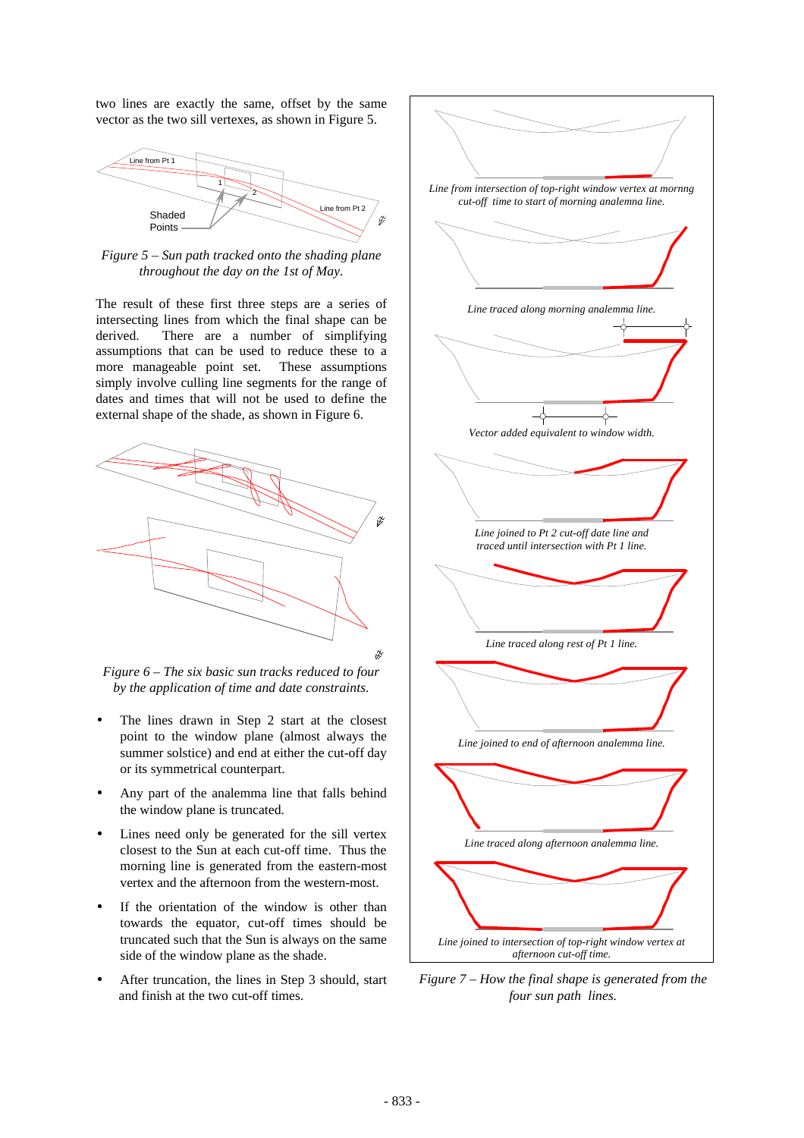two lines are exactly the same, offset by the same vector as the two sill vertexes, as shown in Figure 5.



*Figure 5 – Sun path tracked onto the shading plane throughout the day on the 1st of May.*

The result of these first three steps are a series of intersecting lines from which the final shape can be derived. There are a number of simplifying assumptions that can be used to reduce these to a more manageable point set. These assumptions simply involve culling line segments for the range of dates and times that will not be used to define the external shape of the shade, as shown in Figure 6.



*Figure 6 – The six basic sun tracks reduced to four by the application of time and date constraints.*

- The lines drawn in Step 2 start at the closest point to the window plane (almost always the summer solstice) and end at either the cut-off day or its symmetrical counterpart.
- Any part of the analemma line that falls behind the window plane is truncated.
- Lines need only be generated for the sill vertex closest to the Sun at each cut-off time. Thus the morning line is generated from the eastern-most vertex and the afternoon from the western-most.
- If the orientation of the window is other than towards the equator, cut-off times should be truncated such that the Sun is always on the same side of the window plane as the shade.
- After truncation, the lines in Step 3 should, start and finish at the two cut-off times.



*Figure 7 – How the final shape is generated from the four sun path lines.*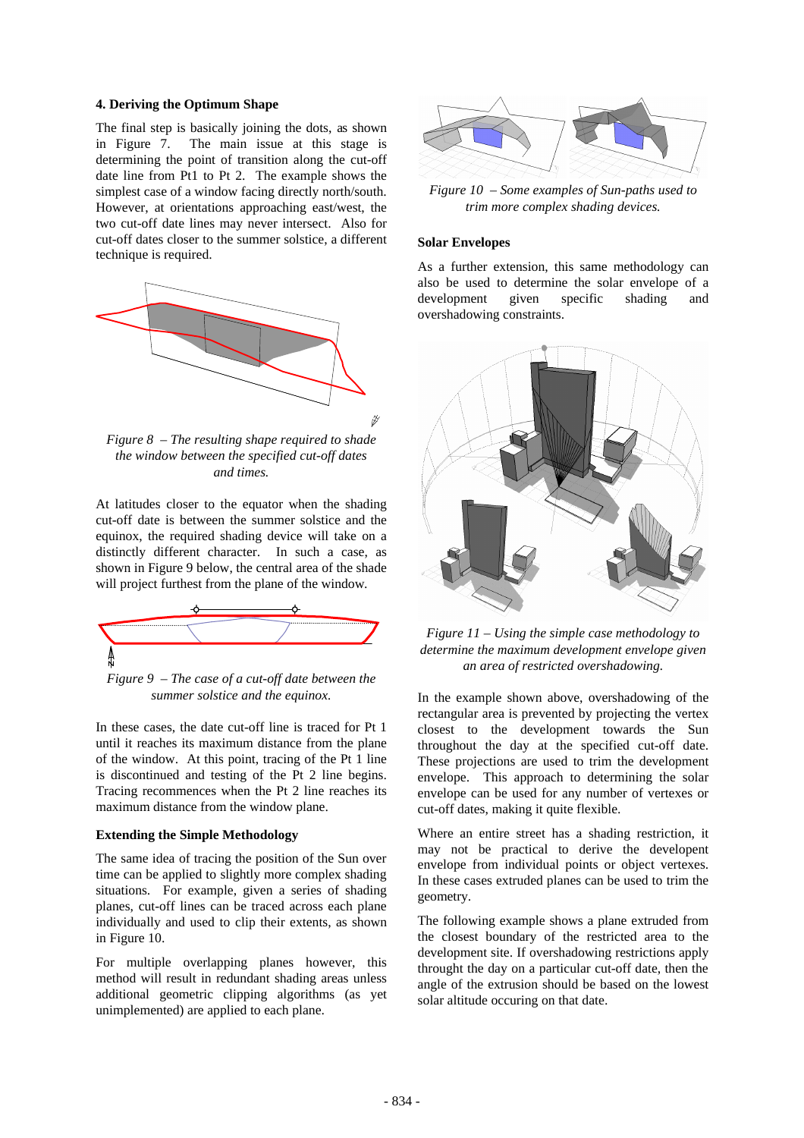#### **4. Deriving the Optimum Shape**

The final step is basically joining the dots, as shown in Figure 7. The main issue at this stage is determining the point of transition along the cut-off date line from Pt1 to Pt 2. The example shows the simplest case of a window facing directly north/south. However, at orientations approaching east/west, the two cut-off date lines may never intersect. Also for cut-off dates closer to the summer solstice, a different technique is required.



*Figure 8 – The resulting shape required to shade the window between the specified cut-off dates and times.*

At latitudes closer to the equator when the shading cut-off date is between the summer solstice and the equinox, the required shading device will take on a distinctly different character. In such a case, as shown in Figure 9 below, the central area of the shade will project furthest from the plane of the window.



*Figure 9 – The case of a cut-off date between the summer solstice and the equinox.*

In these cases, the date cut-off line is traced for Pt 1 until it reaches its maximum distance from the plane of the window. At this point, tracing of the Pt 1 line is discontinued and testing of the Pt 2 line begins. Tracing recommences when the Pt 2 line reaches its maximum distance from the window plane.

## **Extending the Simple Methodology**

The same idea of tracing the position of the Sun over time can be applied to slightly more complex shading situations. For example, given a series of shading planes, cut-off lines can be traced across each plane individually and used to clip their extents, as shown in Figure 10.

For multiple overlapping planes however, this method will result in redundant shading areas unless additional geometric clipping algorithms (as yet unimplemented) are applied to each plane.



*Figure 10 – Some examples of Sun-paths used to trim more complex shading devices.*

### **Solar Envelopes**

As a further extension, this same methodology can also be used to determine the solar envelope of a development given specific shading and overshadowing constraints.



*Figure 11 – Using the simple case methodology to determine the maximum development envelope given an area of restricted overshadowing.*

In the example shown above, overshadowing of the rectangular area is prevented by projecting the vertex closest to the development towards the Sun throughout the day at the specified cut-off date. These projections are used to trim the development envelope. This approach to determining the solar envelope can be used for any number of vertexes or cut-off dates, making it quite flexible.

Where an entire street has a shading restriction, it may not be practical to derive the developent envelope from individual points or object vertexes. In these cases extruded planes can be used to trim the geometry.

The following example shows a plane extruded from the closest boundary of the restricted area to the development site. If overshadowing restrictions apply throught the day on a particular cut-off date, then the angle of the extrusion should be based on the lowest solar altitude occuring on that date.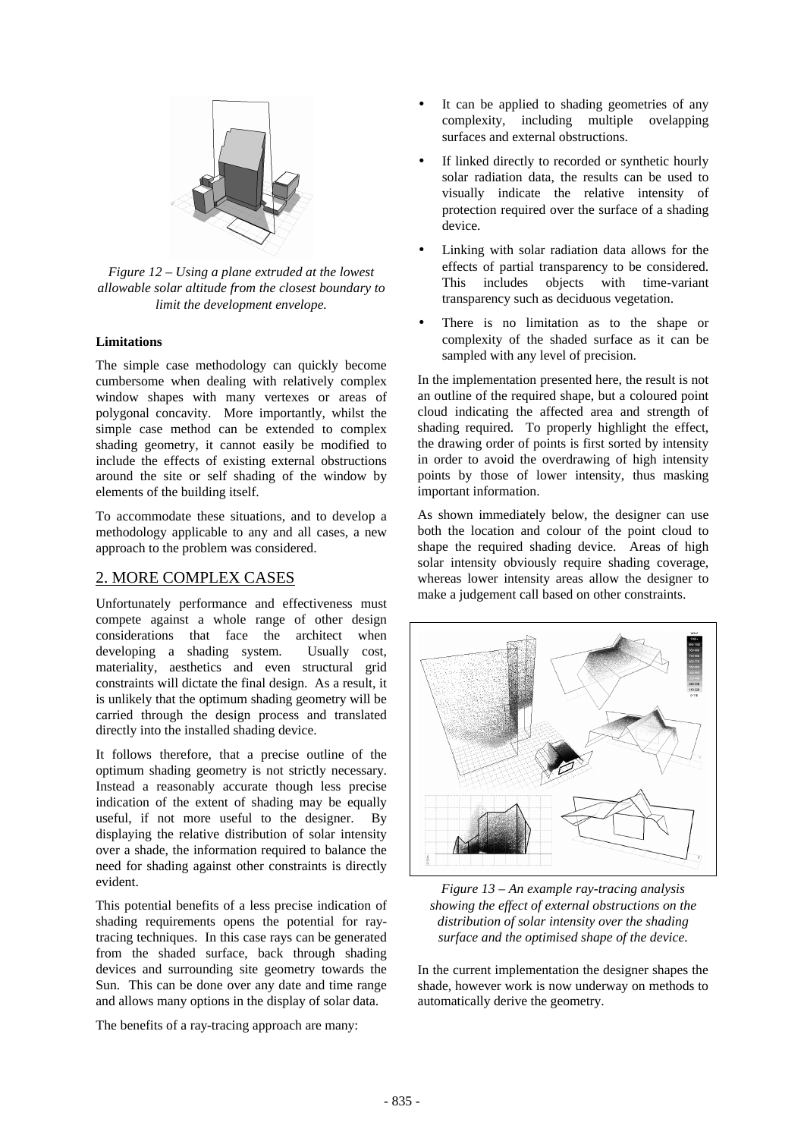

*Figure 12 – Using a plane extruded at the lowest allowable solar altitude from the closest boundary to limit the development envelope.*

## **Limitations**

The simple case methodology can quickly become cumbersome when dealing with relatively complex window shapes with many vertexes or areas of polygonal concavity. More importantly, whilst the simple case method can be extended to complex shading geometry, it cannot easily be modified to include the effects of existing external obstructions around the site or self shading of the window by elements of the building itself.

To accommodate these situations, and to develop a methodology applicable to any and all cases, a new approach to the problem was considered.

# 2. MORE COMPLEX CASES

Unfortunately performance and effectiveness must compete against a whole range of other design considerations that face the architect when developing a shading system. Usually cost, materiality, aesthetics and even structural grid constraints will dictate the final design. As a result, it is unlikely that the optimum shading geometry will be carried through the design process and translated directly into the installed shading device.

It follows therefore, that a precise outline of the optimum shading geometry is not strictly necessary. Instead a reasonably accurate though less precise indication of the extent of shading may be equally useful, if not more useful to the designer. By displaying the relative distribution of solar intensity over a shade, the information required to balance the need for shading against other constraints is directly evident.

This potential benefits of a less precise indication of shading requirements opens the potential for raytracing techniques. In this case rays can be generated from the shaded surface, back through shading devices and surrounding site geometry towards the Sun. This can be done over any date and time range and allows many options in the display of solar data.

The benefits of a ray-tracing approach are many:

- It can be applied to shading geometries of any complexity, including multiple ovelapping surfaces and external obstructions.
- If linked directly to recorded or synthetic hourly solar radiation data, the results can be used to visually indicate the relative intensity of protection required over the surface of a shading device.
- Linking with solar radiation data allows for the effects of partial transparency to be considered. This includes objects with time-variant transparency such as deciduous vegetation.
- There is no limitation as to the shape or complexity of the shaded surface as it can be sampled with any level of precision.

In the implementation presented here, the result is not an outline of the required shape, but a coloured point cloud indicating the affected area and strength of shading required. To properly highlight the effect, the drawing order of points is first sorted by intensity in order to avoid the overdrawing of high intensity points by those of lower intensity, thus masking important information.

As shown immediately below, the designer can use both the location and colour of the point cloud to shape the required shading device. Areas of high solar intensity obviously require shading coverage, whereas lower intensity areas allow the designer to make a judgement call based on other constraints.



*Figure 13 – An example ray-tracing analysis showing the effect of external obstructions on the distribution of solar intensity over the shading surface and the optimised shape of the device.*

In the current implementation the designer shapes the shade, however work is now underway on methods to automatically derive the geometry.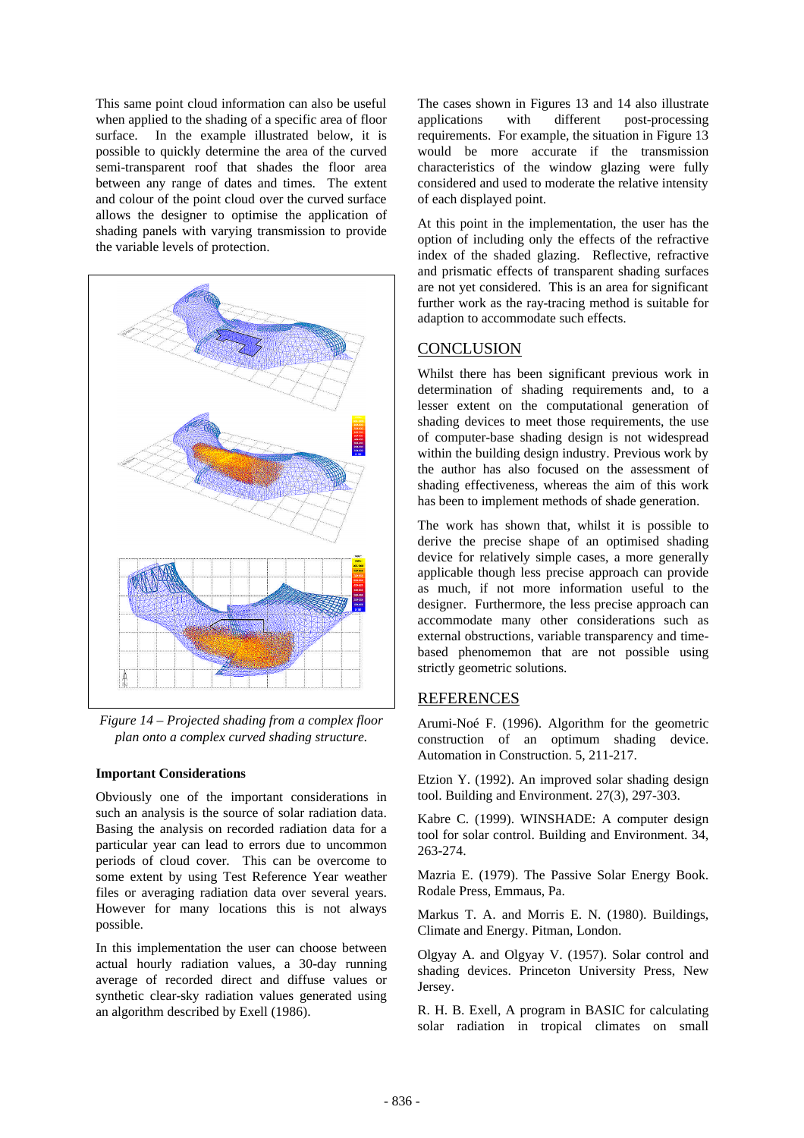This same point cloud information can also be useful when applied to the shading of a specific area of floor surface. In the example illustrated below, it is possible to quickly determine the area of the curved semi-transparent roof that shades the floor area between any range of dates and times. The extent and colour of the point cloud over the curved surface allows the designer to optimise the application of shading panels with varying transmission to provide the variable levels of protection.



*Figure 14 – Projected shading from a complex floor plan onto a complex curved shading structure.*

#### **Important Considerations**

Obviously one of the important considerations in such an analysis is the source of solar radiation data. Basing the analysis on recorded radiation data for a particular year can lead to errors due to uncommon periods of cloud cover. This can be overcome to some extent by using Test Reference Year weather files or averaging radiation data over several years. However for many locations this is not always possible.

In this implementation the user can choose between actual hourly radiation values, a 30-day running average of recorded direct and diffuse values or synthetic clear-sky radiation values generated using an algorithm described by Exell (1986).

The cases shown in Figures 13 and 14 also illustrate applications with different post-processing requirements. For example, the situation in Figure 13 would be more accurate if the transmission characteristics of the window glazing were fully considered and used to moderate the relative intensity of each displayed point.

At this point in the implementation, the user has the option of including only the effects of the refractive index of the shaded glazing. Reflective, refractive and prismatic effects of transparent shading surfaces are not yet considered. This is an area for significant further work as the ray-tracing method is suitable for adaption to accommodate such effects.

# **CONCLUSION**

Whilst there has been significant previous work in determination of shading requirements and, to a lesser extent on the computational generation of shading devices to meet those requirements, the use of computer-base shading design is not widespread within the building design industry. Previous work by the author has also focused on the assessment of shading effectiveness, whereas the aim of this work has been to implement methods of shade generation.

The work has shown that, whilst it is possible to derive the precise shape of an optimised shading device for relatively simple cases, a more generally applicable though less precise approach can provide as much, if not more information useful to the designer. Furthermore, the less precise approach can accommodate many other considerations such as external obstructions, variable transparency and timebased phenomemon that are not possible using strictly geometric solutions.

#### **REFERENCES**

Arumi-Noé F. (1996). Algorithm for the geometric construction of an optimum shading device. Automation in Construction. 5, 211-217.

Etzion Y. (1992). An improved solar shading design tool. Building and Environment. 27(3), 297-303.

Kabre C. (1999). WINSHADE: A computer design tool for solar control. Building and Environment. 34, 263-274.

Mazria E. (1979). The Passive Solar Energy Book. Rodale Press, Emmaus, Pa.

Markus T. A. and Morris E. N. (1980). Buildings, Climate and Energy. Pitman, London.

Olgyay A. and Olgyay V. (1957). Solar control and shading devices. Princeton University Press, New Jersey.

R. H. B. Exell, A program in BASIC for calculating solar radiation in tropical climates on small